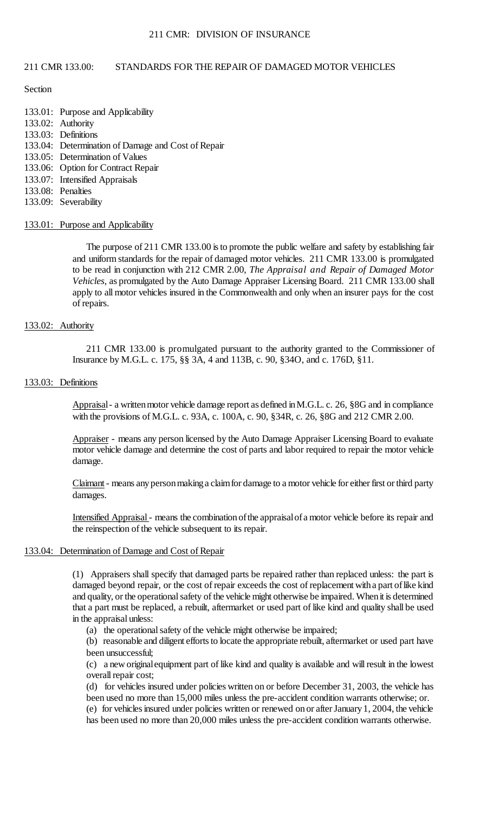### 211 CMR: DIVISION OF INSURANCE

## 211 CMR 133.00: STANDARDS FOR THE REPAIR OF DAMAGED MOTOR VEHICLES

### **Section**

- 133.01: Purpose and Applicability
- 133.02: Authority
- 133.03: Definitions
- 133.04: Determination of Damage and Cost of Repair
- 133.05: Determination of Values
- 133.06: Option for Contract Repair
- 133.07: Intensified Appraisals
- 133.08: Penalties
- 133.09: Severability

### 133.01: Purpose and Applicability

 The purpose of 211 CMR 133.00 is to promote the public welfare and safety by establishing fair and uniform standards for the repair of damaged motor vehicles. 211 CMR 133.00 is promulgated  to be read in conjunction with 212 CMR 2.00, *The Appraisal and Repair of Damaged Motor*  apply to all motor vehicles insured in the Commonwealth and only when an insurer pays for the cost *Vehicles*, as promulgated by the Auto Damage Appraiser Licensing Board. 211 CMR 133.00 shall of repairs.

## 133.02: Authority

211 CMR 133.00 is promulgated pursuant to the authority granted to the Commissioner of Insurance by M.G.L. c. 175, §§ 3A, 4 and 113B, c. 90, §34O, and c. 176D, §11.

### 133.03: Definitions

Appraisal - a written motor vehicle damage report as defined in M.G.L. c. 26, §8G and in compliance with the provisions of M.G.L. c. 93A, c. 100A, c. 90, §34R, c. 26, §8G and 212 CMR 2.00.

Appraiser - means any person licensed by the Auto Damage Appraiser Licensing Board to evaluate motor vehicle damage and determine the cost of parts and labor required to repair the motor vehicle damage.

Claimant - means any person making a claim for damage to a motor vehicle for either first or third party damages.

Intensified Appraisal - means the combination of the appraisal of a motor vehicle before its repair and the reinspection of the vehicle subsequent to its repair.

### 133.04: Determination of Damage and Cost of Repair

 (1) Appraisers shall specify that damaged parts be repaired rather than replaced unless: the part is damaged beyond repair, or the cost of repair exceeds the cost of replacement with a part of like kind and quality, or the operational safety of the vehicle might otherwise be impaired. When it is determined that a part must be replaced, a rebuilt, aftermarket or used part of like kind and quality shall be used in the appraisal unless:

(a) the operational safety of the vehicle might otherwise be impaired;

 (b) reasonable and diligent efforts to locate the appropriate rebuilt, aftermarket or used part have been unsuccessful;

 (c) a new originalequipment part of like kind and quality is available and will result in the lowest overall repair cost;

(d) for vehicles insured under policies written on or before December 31, 2003, the vehicle has been used no more than 15,000 miles unless the pre-accident condition warrants otherwise; or.

 (e) for vehicles insured under policies written or renewed on or after January 1, 2004, the vehicle has been used no more than 20,000 miles unless the pre-accident condition warrants otherwise.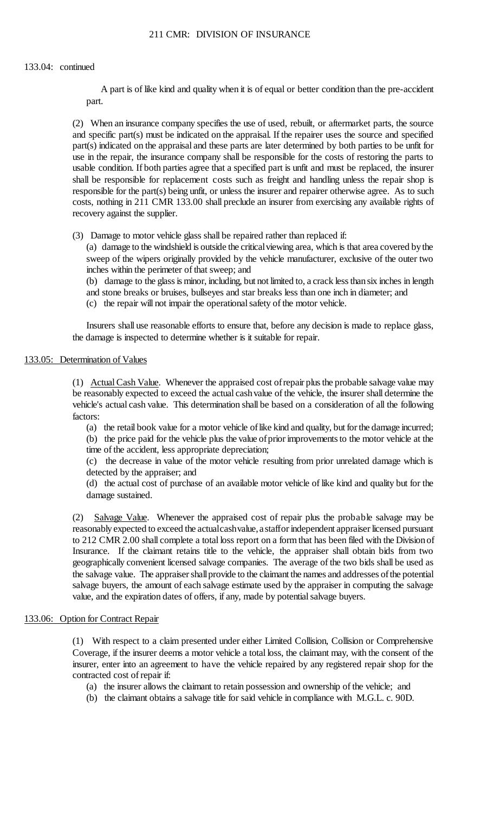### 133.04: continued

 A part is of like kind and quality when it is of equal or better condition than the pre-accident part.

 (2) When an insurance company specifies the use of used, rebuilt, or aftermarket parts, the source and specific part(s) must be indicated on the appraisal. If the repairer uses the source and specified part(s) indicated on the appraisal and these parts are later determined by both parties to be unfit for usable condition. If both parties agree that a specified part is unfit and must be replaced, the insurer costs, nothing in 211 CMR 133.00 shall preclude an insurer from exercising any available rights of use in the repair, the insurance company shall be responsible for the costs of restoring the parts to shall be responsible for replacement costs such as freight and handling unless the repair shop is responsible for the part(s) being unfit, or unless the insurer and repairer otherwise agree. As to such recovery against the supplier.

(3) Damage to motor vehicle glass shall be repaired rather than replaced if:

 (a) damage to the windshield is outside the critical viewing area, which is that area covered by the sweep of the wipers originally provided by the vehicle manufacturer, exclusive of the outer two inches within the perimeter of that sweep; and

(b) damage to the glass is minor, including, but not limited to, a crack less than six inches in length

- and stone breaks or bruises, bullseyes and star breaks less than one inch in diameter; and
- (c) the repair will not impair the operational safety of the motor vehicle.

Insurers shall use reasonable efforts to ensure that, before any decision is made to replace glass, the damage is inspected to determine whether is it suitable for repair.

## 133.05: Determination of Values

(1) Actual Cash Value. Whenever the appraised cost of repair plus the probable salvage value may vehicle's actual cash value. This determination shall be based on a consideration of all the following be reasonably expected to exceed the actual cash value of the vehicle, the insurer shall determine the factors:

(a) the retail book value for a motor vehicle of like kind and quality, but for the damage incurred; (b) the price paid for the vehicle plus the value ofprior improvements to the motor vehicle at the time of the accident, less appropriate depreciation;

(c) the decrease in value of the motor vehicle resulting from prior unrelated damage which is detected by the appraiser; and

 (d) the actual cost of purchase of an available motor vehicle of like kind and quality but for the damage sustained.

 reasonably expected to exceed the actualcashvalue, a staffor independent appraiser licensed pursuant to 212 CMR 2.00 shall complete a total loss report on a form that has been filed with the Divisionof salvage buyers, the amount of each salvage estimate used by the appraiser in computing the salvage (2) Salvage Value. Whenever the appraised cost of repair plus the probable salvage may be Insurance. If the claimant retains title to the vehicle, the appraiser shall obtain bids from two geographically convenient licensed salvage companies. The average of the two bids shall be used as the salvage value. The appraiser shall provide to the claimant the names and addresses of the potential value, and the expiration dates of offers, if any, made by potential salvage buyers.

## 133.06: Option for Contract Repair

 (1) With respect to a claim presented under either Limited Collision, Collision or Comprehensive Coverage, if the insurer deems a motor vehicle a total loss, the claimant may, with the consent of the insurer, enter into an agreement to have the vehicle repaired by any registered repair shop for the contracted cost of repair if:

- (a) the insurer allows the claimant to retain possession and ownership of the vehicle; and
- (b) the claimant obtains a salvage title for said vehicle in compliance with M.G.L. c. 90D.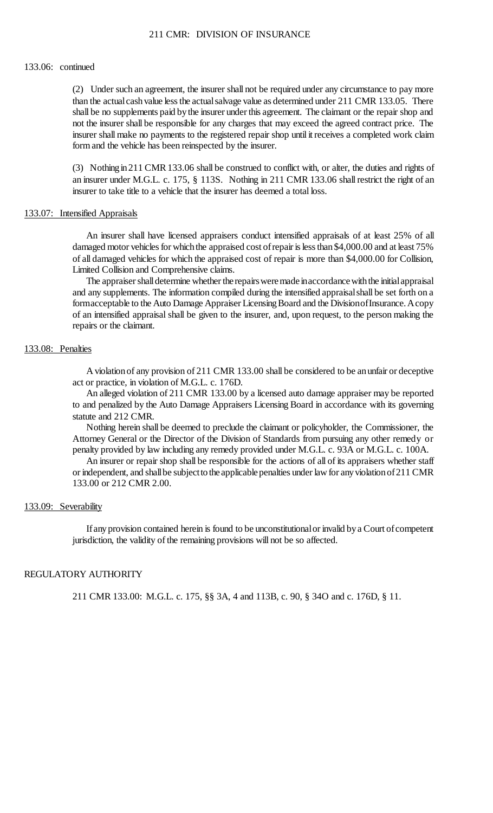## 211 CMR: DIVISION OF INSURANCE

#### 133.06: continued

 than the actual cash value less the actual salvage value as determined under 211 CMR 133.05. There shall be no supplements paid by the insurer under this agreement. The claimant or the repair shop and not the insurer shall be responsible for any charges that may exceed the agreed contract price. The (2) Under such an agreement, the insurer shall not be required under any circumstance to pay more insurer shall make no payments to the registered repair shop until it receives a completed work claim form and the vehicle has been reinspected by the insurer.

(3) Nothing in 211 CMR 133.06 shall be construed to conflict with, or alter, the duties and rights of an insurer under M.G.L. c. 175, § 113S. Nothing in 211 CMR 133.06 shall restrict the right of an insurer to take title to a vehicle that the insurer has deemed a total loss.

#### 133.07: Intensified Appraisals

 of all damaged vehicles for which the appraised cost of repair is more than \$4,000.00 for Collision, An insurer shall have licensed appraisers conduct intensified appraisals of at least 25% of all damaged motor vehicles for which the appraised cost of repair is less than \$4,000.00 and at least 75% Limited Collision and Comprehensive claims.

The appraiser shall determine whether the repairs were made in accordance with the initial appraisal formacceptable to the Auto Damage Appraiser Licensing Board and the DivisionofInsurance. Acopy of an intensified appraisal shall be given to the insurer, and, upon request, to the person making the and any supplements. The information compiled during the intensified appraisalshall be set forth on a repairs or the claimant.

#### 133.08: Penalties

 A violation of any provision of 211 CMR 133.00 shall be considered to be an unfair or deceptive act or practice, in violation of M.G.L. c. 176D.

 to and penalized by the Auto Damage Appraisers Licensing Board in accordance with its governing An alleged violation of 211 CMR 133.00 by a licensed auto damage appraiser may be reported statute and 212 CMR.

 Nothing herein shall be deemed to preclude the claimant or policyholder, the Commissioner, the Attorney General or the Director of the Division of Standards from pursuing any other remedy or penalty provided by law including any remedy provided under M.G.L. c. 93A or M.G.L. c. 100A.

 An insurer or repair shop shall be responsible for the actions of all of its appraisers whether staff or independent, and shall be subjectto the applicable penalties under law for any violation of 211 CMR 133.00 or 212 CMR 2.00.

### 133.09: Severability

 If any provision contained herein is found to be unconstitutional or invalid by a Court of competent jurisdiction, the validity of the remaining provisions will not be so affected.

## REGULATORY AUTHORITY

211 CMR 133.00: M.G.L. c. 175, §§ 3A, 4 and 113B, c. 90, § 34O and c. 176D, § 11.